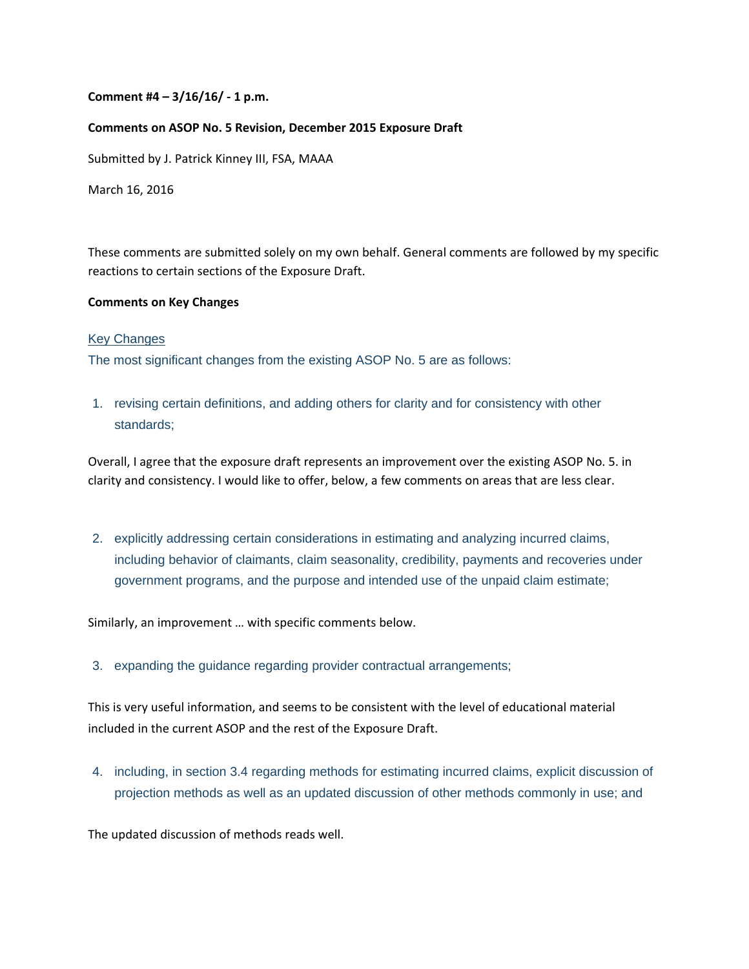## **Comment #4 – 3/16/16/ ‐ 1 p.m.**

### **Comments on ASOP No. 5 Revision, December 2015 Exposure Draft**

Submitted by J. Patrick Kinney III, FSA, MAAA

March 16, 2016

These comments are submitted solely on my own behalf. General comments are followed by my specific reactions to certain sections of the Exposure Draft.

### **Comments on Key Changes**

### Key Changes

The most significant changes from the existing ASOP No. 5 are as follows:

1. revising certain definitions, and adding others for clarity and for consistency with other standards;

Overall, I agree that the exposure draft represents an improvement over the existing ASOP No. 5. in clarity and consistency. I would like to offer, below, a few comments on areas that are less clear.

2. explicitly addressing certain considerations in estimating and analyzing incurred claims, including behavior of claimants, claim seasonality, credibility, payments and recoveries under government programs, and the purpose and intended use of the unpaid claim estimate;

Similarly, an improvement … with specific comments below.

3. expanding the guidance regarding provider contractual arrangements;

This is very useful information, and seems to be consistent with the level of educational material included in the current ASOP and the rest of the Exposure Draft.

4. including, in section 3.4 regarding methods for estimating incurred claims, explicit discussion of projection methods as well as an updated discussion of other methods commonly in use; and

The updated discussion of methods reads well.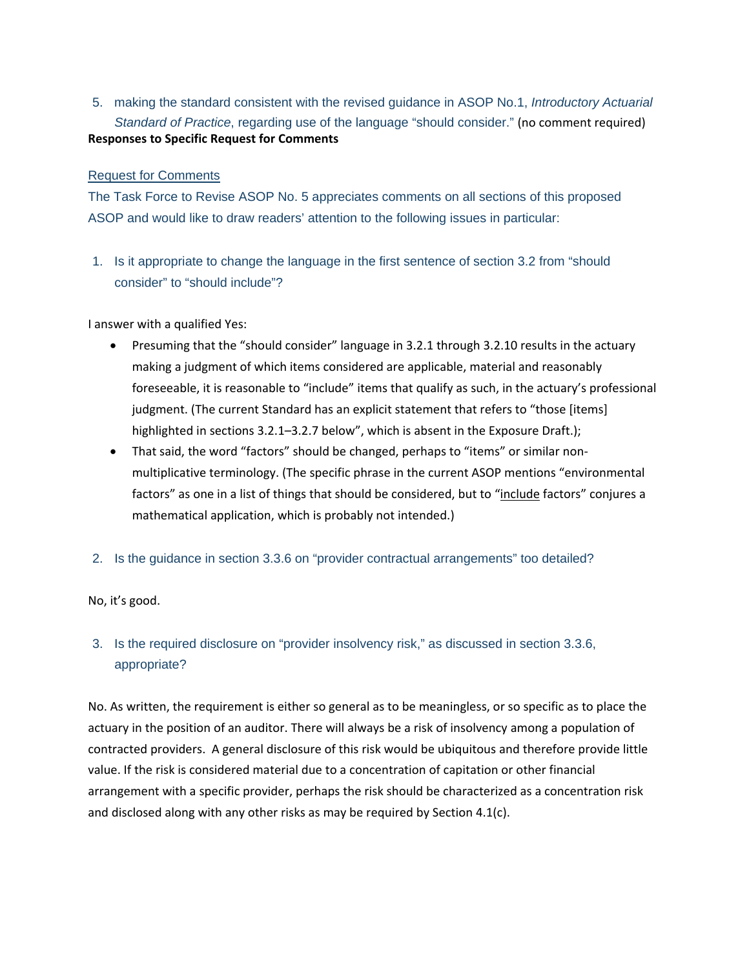5. making the standard consistent with the revised guidance in ASOP No.1, *Introductory Actuarial Standard of Practice*, regarding use of the language "should consider." (no comment required) **Responses to Specific Request for Comments**

# Request for Comments

The Task Force to Revise ASOP No. 5 appreciates comments on all sections of this proposed ASOP and would like to draw readers' attention to the following issues in particular:

1. Is it appropriate to change the language in the first sentence of section 3.2 from "should consider" to "should include"?

I answer with a qualified Yes:

- Presuming that the "should consider" language in 3.2.1 through 3.2.10 results in the actuary making a judgment of which items considered are applicable, material and reasonably foreseeable, it is reasonable to "include" items that qualify as such, in the actuary's professional judgment. (The current Standard has an explicit statement that refers to "those [items] highlighted in sections 3.2.1-3.2.7 below", which is absent in the Exposure Draft.);
- That said, the word "factors" should be changed, perhaps to "items" or similar nonmultiplicative terminology. (The specific phrase in the current ASOP mentions "environmental factors" as one in a list of things that should be considered, but to "include factors" conjures a mathematical application, which is probably not intended.)
- 2. Is the guidance in section 3.3.6 on "provider contractual arrangements" too detailed?

No, it's good.

# 3. Is the required disclosure on "provider insolvency risk," as discussed in section 3.3.6, appropriate?

No. As written, the requirement is either so general as to be meaningless, or so specific as to place the actuary in the position of an auditor. There will always be a risk of insolvency among a population of contracted providers. A general disclosure of this risk would be ubiquitous and therefore provide little value. If the risk is considered material due to a concentration of capitation or other financial arrangement with a specific provider, perhaps the risk should be characterized as a concentration risk and disclosed along with any other risks as may be required by Section 4.1(c).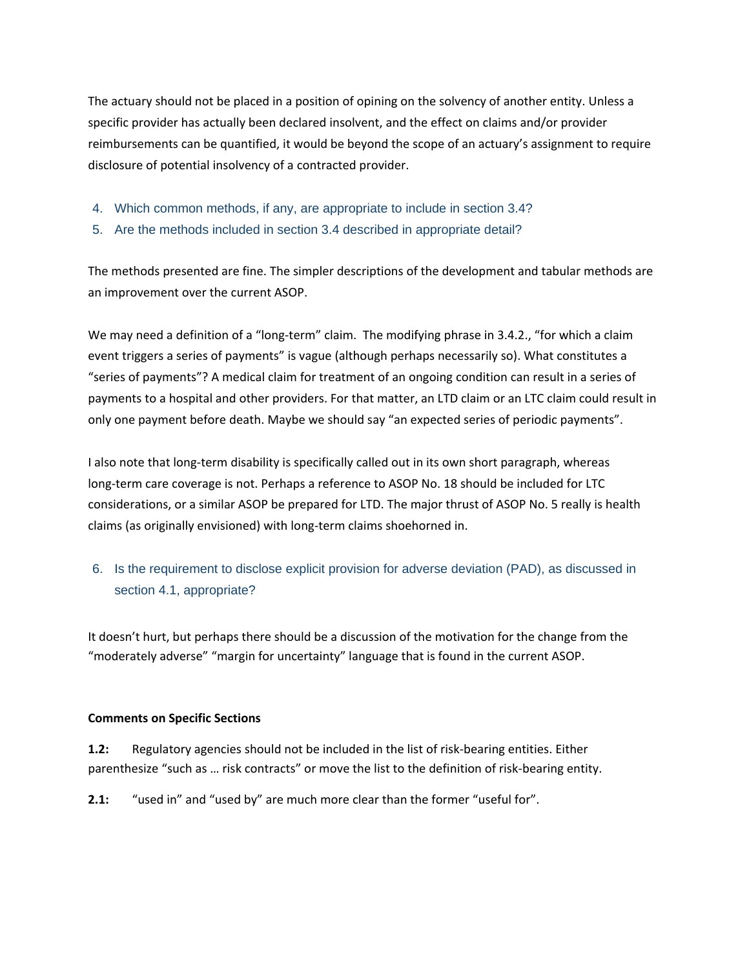The actuary should not be placed in a position of opining on the solvency of another entity. Unless a specific provider has actually been declared insolvent, and the effect on claims and/or provider reimbursements can be quantified, it would be beyond the scope of an actuary's assignment to require disclosure of potential insolvency of a contracted provider.

- 4. Which common methods, if any, are appropriate to include in section 3.4?
- 5. Are the methods included in section 3.4 described in appropriate detail?

The methods presented are fine. The simpler descriptions of the development and tabular methods are an improvement over the current ASOP.

We may need a definition of a "long-term" claim. The modifying phrase in 3.4.2., "for which a claim event triggers a series of payments" is vague (although perhaps necessarily so). What constitutes a "series of payments"? A medical claim for treatment of an ongoing condition can result in a series of payments to a hospital and other providers. For that matter, an LTD claim or an LTC claim could result in only one payment before death. Maybe we should say "an expected series of periodic payments".

I also note that long‐term disability is specifically called out in its own short paragraph, whereas long-term care coverage is not. Perhaps a reference to ASOP No. 18 should be included for LTC considerations, or a similar ASOP be prepared for LTD. The major thrust of ASOP No. 5 really is health claims (as originally envisioned) with long‐term claims shoehorned in.

# 6. Is the requirement to disclose explicit provision for adverse deviation (PAD), as discussed in section 4.1, appropriate?

It doesn't hurt, but perhaps there should be a discussion of the motivation for the change from the "moderately adverse" "margin for uncertainty" language that is found in the current ASOP.

## **Comments on Specific Sections**

**1.2:** Regulatory agencies should not be included in the list of risk‐bearing entities. Either parenthesize "such as ... risk contracts" or move the list to the definition of risk-bearing entity.

**2.1:** "used in" and "used by" are much more clear than the former "useful for".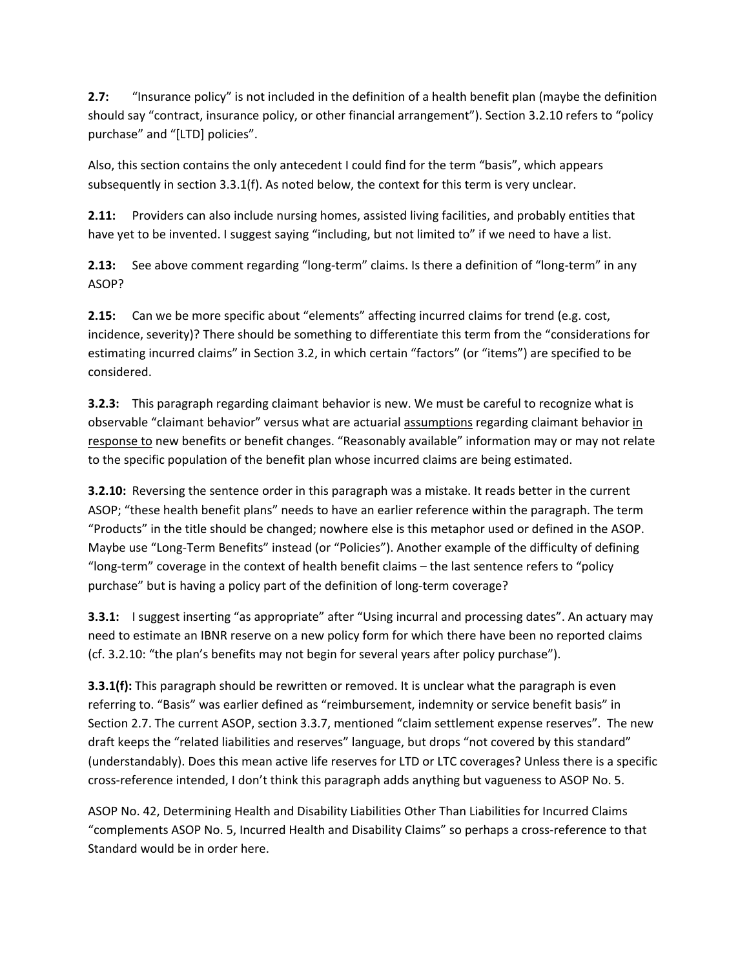**2.7:** "Insurance policy" is not included in the definition of a health benefit plan (maybe the definition should say "contract, insurance policy, or other financial arrangement"). Section 3.2.10 refers to "policy purchase" and "[LTD] policies".

Also, this section contains the only antecedent I could find for the term "basis", which appears subsequently in section 3.3.1(f). As noted below, the context for this term is very unclear.

**2.11:** Providers can also include nursing homes, assisted living facilities, and probably entities that have yet to be invented. I suggest saying "including, but not limited to" if we need to have a list.

**2.13:** See above comment regarding "long-term" claims. Is there a definition of "long-term" in any ASOP?

**2.15:** Can we be more specific about "elements" affecting incurred claims for trend (e.g. cost, incidence, severity)? There should be something to differentiate this term from the "considerations for estimating incurred claims" in Section 3.2, in which certain "factors" (or "items") are specified to be considered.

**3.2.3:** This paragraph regarding claimant behavior is new. We must be careful to recognize what is observable "claimant behavior" versus what are actuarial assumptions regarding claimant behavior in response to new benefits or benefit changes. "Reasonably available" information may or may not relate to the specific population of the benefit plan whose incurred claims are being estimated.

**3.2.10:** Reversing the sentence order in this paragraph was a mistake. It reads better in the current ASOP; "these health benefit plans" needs to have an earlier reference within the paragraph. The term "Products" in the title should be changed; nowhere else is this metaphor used or defined in the ASOP. Maybe use "Long‐Term Benefits" instead (or "Policies"). Another example of the difficulty of defining "long‐term" coverage in the context of health benefit claims – the last sentence refers to "policy purchase" but is having a policy part of the definition of long-term coverage?

**3.3.1:** I suggest inserting "as appropriate" after "Using incurral and processing dates". An actuary may need to estimate an IBNR reserve on a new policy form for which there have been no reported claims (cf. 3.2.10: "the plan's benefits may not begin for several years after policy purchase").

**3.3.1(f):** This paragraph should be rewritten or removed. It is unclear what the paragraph is even referring to. "Basis" was earlier defined as "reimbursement, indemnity or service benefit basis" in Section 2.7. The current ASOP, section 3.3.7, mentioned "claim settlement expense reserves". The new draft keeps the "related liabilities and reserves" language, but drops "not covered by this standard" (understandably). Does this mean active life reserves for LTD or LTC coverages? Unless there is a specific cross‐reference intended, I don't think this paragraph adds anything but vagueness to ASOP No. 5.

ASOP No. 42, Determining Health and Disability Liabilities Other Than Liabilities for Incurred Claims "complements ASOP No. 5, Incurred Health and Disability Claims" so perhaps a cross‐reference to that Standard would be in order here.